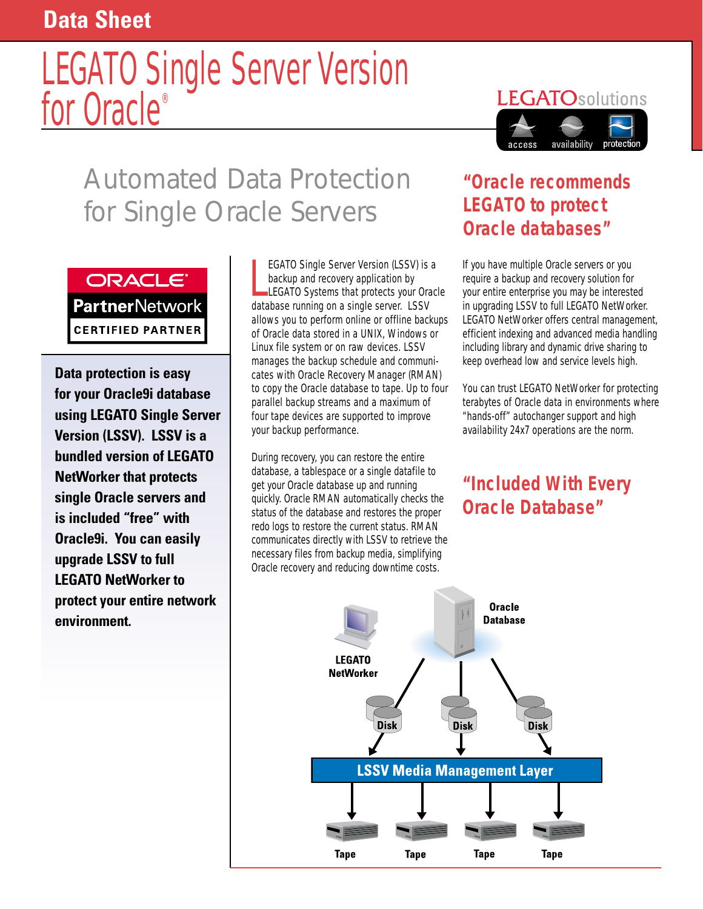## **Data Sheet**

# LEGATO Single Server Version for Oracle®



# Automated Data Protection for Single Oracle Servers



**CERTIFIED PARTNER** 

**Data protection is easy for your Oracle9i database using LEGATO Single Server Version (LSSV). LSSV is a bundled version of LEGATO NetWorker that protects single Oracle servers and is included "free" with Oracle9i. You can easily upgrade LSSV to full LEGATO NetWorker to protect your entire network environment.**

EGATO Single Server Version (LSSV) is<br>backup and recovery application by<br>LEGATO Systems that protects your Ora<br>database running on a single server. LSSV EGATO Single Server Version (LSSV) is a backup and recovery application by LEGATO Systems that protects your Oracle allows you to perform online or offline backups of Oracle data stored in a UNIX, Windows or Linux file system or on raw devices. LSSV manages the backup schedule and communicates with Oracle Recovery Manager (RMAN) to copy the Oracle database to tape. Up to four parallel backup streams and a maximum of four tape devices are supported to improve your backup performance.

During recovery, you can restore the entire database, a tablespace or a single datafile to get your Oracle database up and running quickly. Oracle RMAN automatically checks the status of the database and restores the proper redo logs to restore the current status. RMAN communicates directly with LSSV to retrieve the necessary files from backup media, simplifying Oracle recovery and reducing downtime costs.

### *"Oracle recommends LEGATO to protect Oracle databases"*

If you have multiple Oracle servers or you require a backup and recovery solution for your entire enterprise you may be interested in upgrading LSSV to full LEGATO NetWorker. LEGATO NetWorker offers central management, efficient indexing and advanced media handling including library and dynamic drive sharing to keep overhead low and service levels high.

You can trust LEGATO NetWorker for protecting terabytes of Oracle data in environments where "hands-off" autochanger support and high availability 24x7 operations are the norm.

*"Included With Every Oracle Database"*